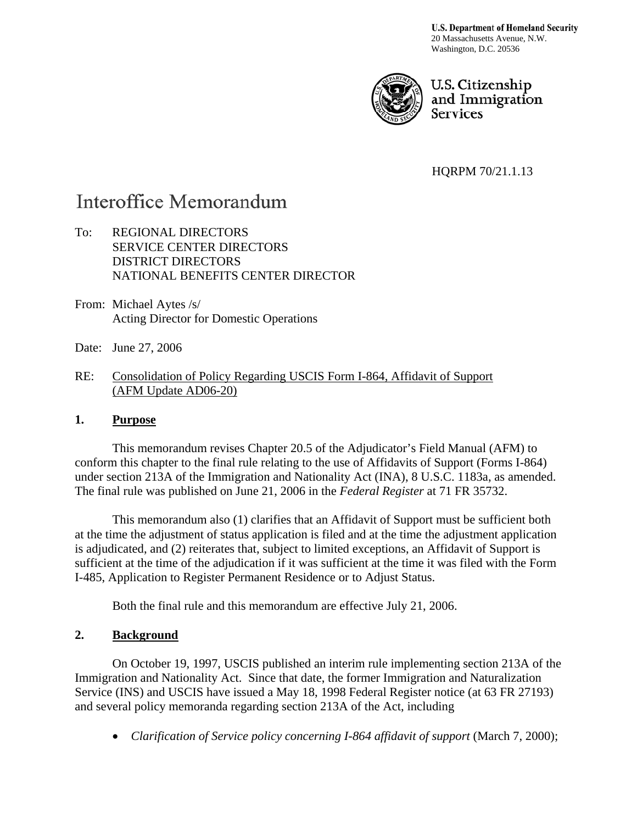**U.S. Department of Homeland Security** 20 Massachusetts Avenue, N.W. Washington, D.C. 20536



U.S. Citizenship and Immigration **Services** 

HQRPM 70/21.1.13

# Interoffice Memorandum

- To: REGIONAL DIRECTORS SERVICE CENTER DIRECTORS DISTRICT DIRECTORS NATIONAL BENEFITS CENTER DIRECTOR
- From: Michael Aytes /s/ Acting Director for Domestic Operations
- Date: June 27, 2006
- RE: Consolidation of Policy Regarding USCIS Form I-864, Affidavit of Support (AFM Update AD06-20)

#### **1. Purpose**

This memorandum revises Chapter 20.5 of the Adjudicator's Field Manual (AFM) to conform this chapter to the final rule relating to the use of Affidavits of Support (Forms I-864) under section 213A of the Immigration and Nationality Act (INA), 8 U.S.C. 1183a, as amended. The final rule was published on June 21, 2006 in the *Federal Register* at 71 FR 35732.

This memorandum also (1) clarifies that an Affidavit of Support must be sufficient both at the time the adjustment of status application is filed and at the time the adjustment application is adjudicated, and (2) reiterates that, subject to limited exceptions, an Affidavit of Support is sufficient at the time of the adjudication if it was sufficient at the time it was filed with the Form I-485, Application to Register Permanent Residence or to Adjust Status.

Both the final rule and this memorandum are effective July 21, 2006.

#### **2. Background**

On October 19, 1997, USCIS published an interim rule implementing section 213A of the Immigration and Nationality Act. Since that date, the former Immigration and Naturalization Service (INS) and USCIS have issued a May 18, 1998 Federal Register notice (at 63 FR 27193) and several policy memoranda regarding section 213A of the Act, including

• *Clarification of Service policy concerning I-864 affidavit of support* (March 7, 2000);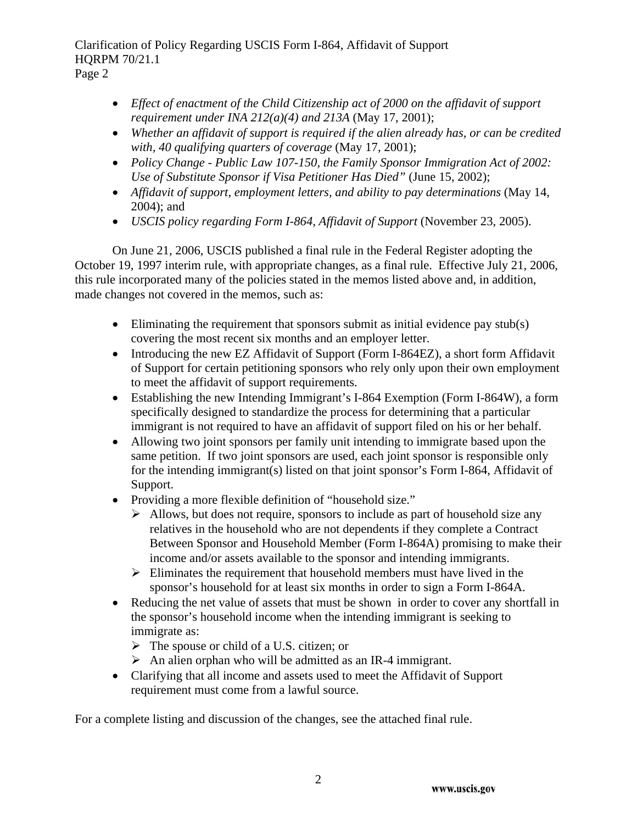Page 2

- *Effect of enactment of the Child Citizenship act of 2000 on the affidavit of support requirement under INA 212(a)(4) and 213A* (May 17, 2001);
- *Whether an affidavit of support is required if the alien already has, or can be credited with, 40 qualifying quarters of coverage* (May 17, 2001);
- *Policy Change Public Law 107-150, the Family Sponsor Immigration Act of 2002: Use of Substitute Sponsor if Visa Petitioner Has Died"* (June 15, 2002);
- *Affidavit of support, employment letters, and ability to pay determinations* (May 14, 2004); and
- *USCIS policy regarding Form I-864, Affidavit of Support* (November 23, 2005).

On June 21, 2006, USCIS published a final rule in the Federal Register adopting the October 19, 1997 interim rule, with appropriate changes, as a final rule. Effective July 21, 2006, this rule incorporated many of the policies stated in the memos listed above and, in addition, made changes not covered in the memos, such as:

- Eliminating the requirement that sponsors submit as initial evidence pay stub(s) covering the most recent six months and an employer letter.
- Introducing the new EZ Affidavit of Support (Form I-864EZ), a short form Affidavit of Support for certain petitioning sponsors who rely only upon their own employment to meet the affidavit of support requirements.
- Establishing the new Intending Immigrant's I-864 Exemption (Form I-864W), a form specifically designed to standardize the process for determining that a particular immigrant is not required to have an affidavit of support filed on his or her behalf.
- Allowing two joint sponsors per family unit intending to immigrate based upon the same petition. If two joint sponsors are used, each joint sponsor is responsible only for the intending immigrant(s) listed on that joint sponsor's Form I-864, Affidavit of Support.
- Providing a more flexible definition of "household size."
	- $\triangleright$  Allows, but does not require, sponsors to include as part of household size any relatives in the household who are not dependents if they complete a Contract Between Sponsor and Household Member (Form I-864A) promising to make their income and/or assets available to the sponsor and intending immigrants.
	- $\triangleright$  Eliminates the requirement that household members must have lived in the sponsor's household for at least six months in order to sign a Form I-864A.
- Reducing the net value of assets that must be shown in order to cover any shortfall in the sponsor's household income when the intending immigrant is seeking to immigrate as:
	- $\triangleright$  The spouse or child of a U.S. citizen; or
	- $\triangleright$  An alien orphan who will be admitted as an IR-4 immigrant.
- Clarifying that all income and assets used to meet the Affidavit of Support requirement must come from a lawful source.

For a complete listing and discussion of the changes, see the attached final rule.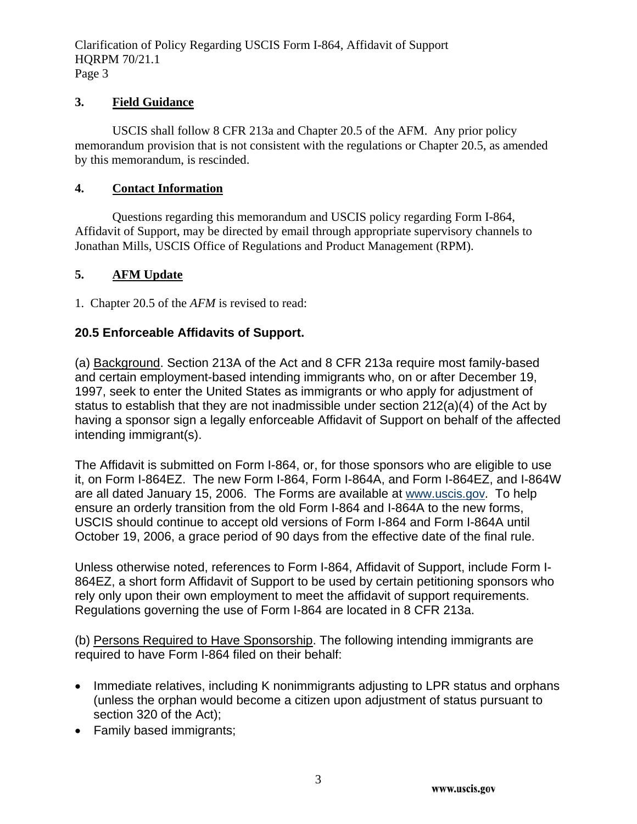#### **3. Field Guidance**

USCIS shall follow 8 CFR 213a and Chapter 20.5 of the AFM. Any prior policy memorandum provision that is not consistent with the regulations or Chapter 20.5, as amended by this memorandum, is rescinded.

#### **4. Contact Information**

Questions regarding this memorandum and USCIS policy regarding Form I-864, Affidavit of Support, may be directed by email through appropriate supervisory channels to Jonathan Mills, USCIS Office of Regulations and Product Management (RPM).

#### **5. AFM Update**

1. Chapter 20.5 of the *AFM* is revised to read:

### **20.5 Enforceable Affidavits of Support.**

(a) Background. Section 213A of the Act and 8 CFR 213a require most family-based and certain employment-based intending immigrants who, on or after December 19, 1997, seek to enter the United States as immigrants or who apply for adjustment of status to establish that they are not inadmissible under section 212(a)(4) of the Act by having a sponsor sign a legally enforceable Affidavit of Support on behalf of the affected intending immigrant(s).

The Affidavit is submitted on Form I-864, or, for those sponsors who are eligible to use it, on Form I-864EZ. The new Form I-864, Form I-864A, and Form I-864EZ, and I-864W are all dated January 15, 2006. The Forms are available at [www.uscis.gov](http://www.uscis.gov/). To help ensure an orderly transition from the old Form I-864 and I-864A to the new forms, USCIS should continue to accept old versions of Form I-864 and Form I-864A until October 19, 2006, a grace period of 90 days from the effective date of the final rule.

Unless otherwise noted, references to Form I-864, Affidavit of Support, include Form I-864EZ, a short form Affidavit of Support to be used by certain petitioning sponsors who rely only upon their own employment to meet the affidavit of support requirements. Regulations governing the use of Form I-864 are located in 8 CFR 213a.

(b) Persons Required to Have Sponsorship. The following intending immigrants are required to have Form I-864 filed on their behalf:

- Immediate relatives, including K nonimmigrants adjusting to LPR status and orphans (unless the orphan would become a citizen upon adjustment of status pursuant to section 320 of the Act);
- Family based immigrants;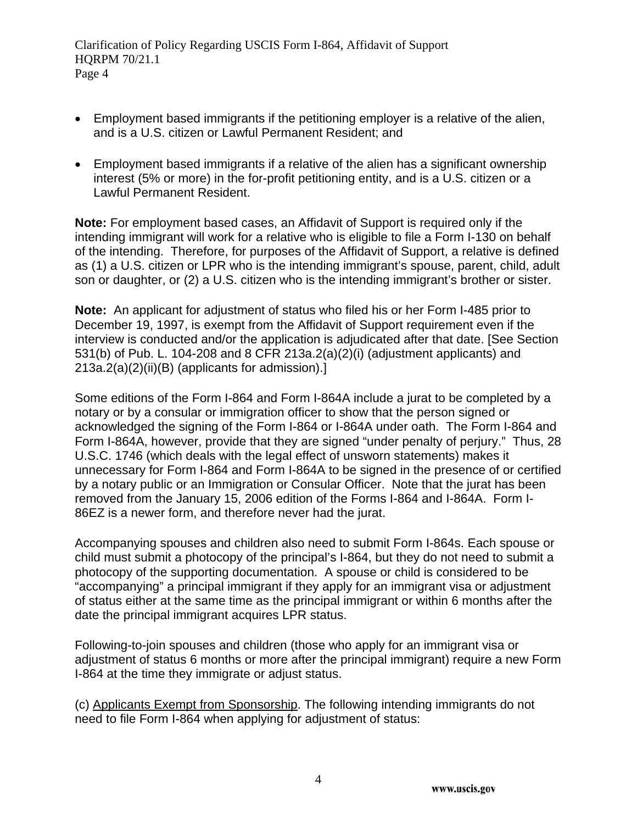- Employment based immigrants if the petitioning employer is a relative of the alien, and is a U.S. citizen or Lawful Permanent Resident; and
- Employment based immigrants if a relative of the alien has a significant ownership interest (5% or more) in the for-profit petitioning entity, and is a U.S. citizen or a Lawful Permanent Resident.

**Note:** For employment based cases, an Affidavit of Support is required only if the intending immigrant will work for a relative who is eligible to file a Form I-130 on behalf of the intending. Therefore, for purposes of the Affidavit of Support, a relative is defined as (1) a U.S. citizen or LPR who is the intending immigrant's spouse, parent, child, adult son or daughter, or (2) a U.S. citizen who is the intending immigrant's brother or sister.

**Note:** An applicant for adjustment of status who filed his or her Form I-485 prior to December 19, 1997, is exempt from the Affidavit of Support requirement even if the interview is conducted and/or the application is adjudicated after that date. [See Section 531(b) of Pub. L. 104-208 and 8 CFR 213a.2(a)(2)(i) (adjustment applicants) and 213a.2(a)(2)(ii)(B) (applicants for admission).]

Some editions of the Form I-864 and Form I-864A include a jurat to be completed by a notary or by a consular or immigration officer to show that the person signed or acknowledged the signing of the Form I-864 or I-864A under oath. The Form I-864 and Form I-864A, however, provide that they are signed "under penalty of perjury." Thus, 28 U.S.C. 1746 (which deals with the legal effect of unsworn statements) makes it unnecessary for Form I-864 and Form I-864A to be signed in the presence of or certified by a notary public or an Immigration or Consular Officer. Note that the jurat has been removed from the January 15, 2006 edition of the Forms I-864 and I-864A. Form I-86EZ is a newer form, and therefore never had the jurat.

Accompanying spouses and children also need to submit Form I-864s. Each spouse or child must submit a photocopy of the principal's I-864, but they do not need to submit a photocopy of the supporting documentation. A spouse or child is considered to be "accompanying" a principal immigrant if they apply for an immigrant visa or adjustment of status either at the same time as the principal immigrant or within 6 months after the date the principal immigrant acquires LPR status.

Following-to-join spouses and children (those who apply for an immigrant visa or adjustment of status 6 months or more after the principal immigrant) require a new Form I-864 at the time they immigrate or adjust status.

(c) Applicants Exempt from Sponsorship. The following intending immigrants do not need to file Form I-864 when applying for adjustment of status: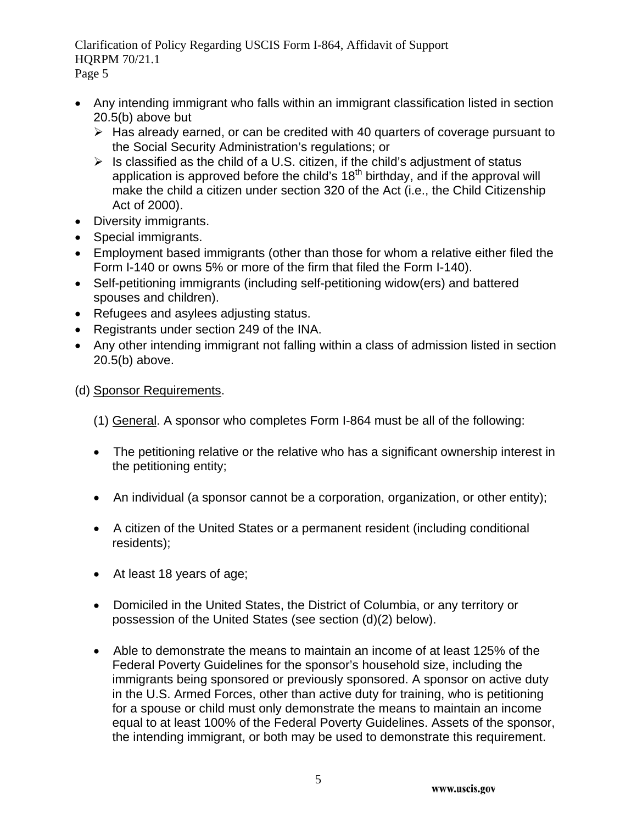- Any intending immigrant who falls within an immigrant classification listed in section 20.5(b) above but
	- $\triangleright$  Has already earned, or can be credited with 40 quarters of coverage pursuant to the Social Security Administration's regulations; or
	- $\triangleright$  Is classified as the child of a U.S. citizen, if the child's adjustment of status application is approved before the child's  $18<sup>th</sup>$  birthday, and if the approval will make the child a citizen under section 320 of the Act (i.e., the Child Citizenship Act of 2000).
- Diversity immigrants.
- Special immigrants.
- Employment based immigrants (other than those for whom a relative either filed the Form I-140 or owns 5% or more of the firm that filed the Form I-140).
- Self-petitioning immigrants (including self-petitioning widow(ers) and battered spouses and children).
- Refugees and asylees adjusting status.
- Registrants under section 249 of the INA.
- Any other intending immigrant not falling within a class of admission listed in section 20.5(b) above.
- (d) Sponsor Requirements.
	- (1) General. A sponsor who completes Form I-864 must be all of the following:
	- The petitioning relative or the relative who has a significant ownership interest in the petitioning entity;
	- An individual (a sponsor cannot be a corporation, organization, or other entity);
	- A citizen of the United States or a permanent resident (including conditional residents);
	- At least 18 years of age;
	- Domiciled in the United States, the District of Columbia, or any territory or possession of the United States (see section (d)(2) below).
	- Able to demonstrate the means to maintain an income of at least 125% of the Federal Poverty Guidelines for the sponsor's household size, including the immigrants being sponsored or previously sponsored. A sponsor on active duty in the U.S. Armed Forces, other than active duty for training, who is petitioning for a spouse or child must only demonstrate the means to maintain an income equal to at least 100% of the Federal Poverty Guidelines. Assets of the sponsor, the intending immigrant, or both may be used to demonstrate this requirement.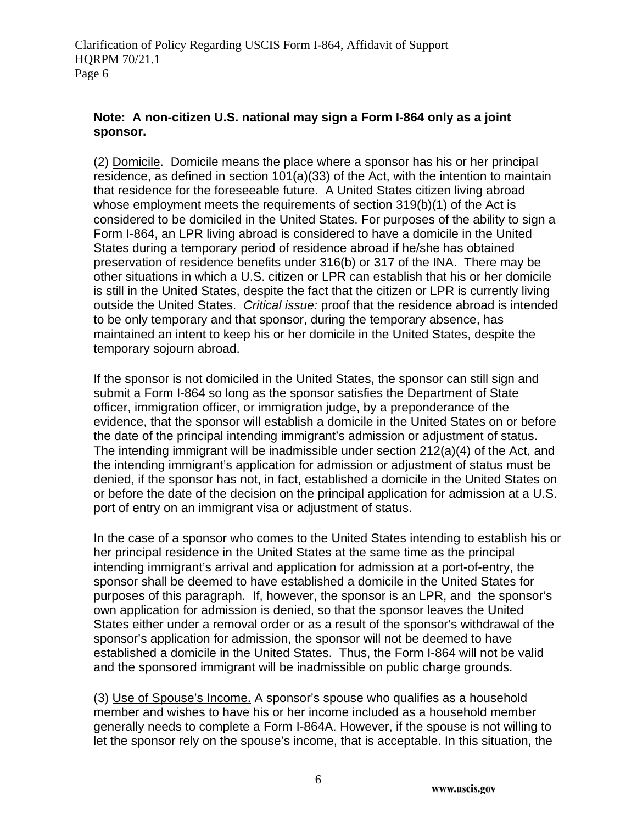### **Note: A non-citizen U.S. national may sign a Form I-864 only as a joint sponsor.**

(2) Domicile. Domicile means the place where a sponsor has his or her principal residence, as defined in section 101(a)(33) of the Act, with the intention to maintain that residence for the foreseeable future. A United States citizen living abroad whose employment meets the requirements of section 319(b)(1) of the Act is considered to be domiciled in the United States. For purposes of the ability to sign a Form I-864, an LPR living abroad is considered to have a domicile in the United States during a temporary period of residence abroad if he/she has obtained preservation of residence benefits under 316(b) or 317 of the INA. There may be other situations in which a U.S. citizen or LPR can establish that his or her domicile is still in the United States, despite the fact that the citizen or LPR is currently living outside the United States. *Critical issue:* proof that the residence abroad is intended to be only temporary and that sponsor, during the temporary absence, has maintained an intent to keep his or her domicile in the United States, despite the temporary sojourn abroad.

If the sponsor is not domiciled in the United States, the sponsor can still sign and submit a Form I-864 so long as the sponsor satisfies the Department of State officer, immigration officer, or immigration judge, by a preponderance of the evidence, that the sponsor will establish a domicile in the United States on or before the date of the principal intending immigrant's admission or adjustment of status. The intending immigrant will be inadmissible under section 212(a)(4) of the Act, and the intending immigrant's application for admission or adjustment of status must be denied, if the sponsor has not, in fact, established a domicile in the United States on or before the date of the decision on the principal application for admission at a U.S. port of entry on an immigrant visa or adjustment of status.

In the case of a sponsor who comes to the United States intending to establish his or her principal residence in the United States at the same time as the principal intending immigrant's arrival and application for admission at a port-of-entry, the sponsor shall be deemed to have established a domicile in the United States for purposes of this paragraph. If, however, the sponsor is an LPR, and the sponsor's own application for admission is denied, so that the sponsor leaves the United States either under a removal order or as a result of the sponsor's withdrawal of the sponsor's application for admission, the sponsor will not be deemed to have established a domicile in the United States. Thus, the Form I-864 will not be valid and the sponsored immigrant will be inadmissible on public charge grounds.

(3) Use of Spouse's Income. A sponsor's spouse who qualifies as a household member and wishes to have his or her income included as a household member generally needs to complete a Form I-864A. However, if the spouse is not willing to let the sponsor rely on the spouse's income, that is acceptable. In this situation, the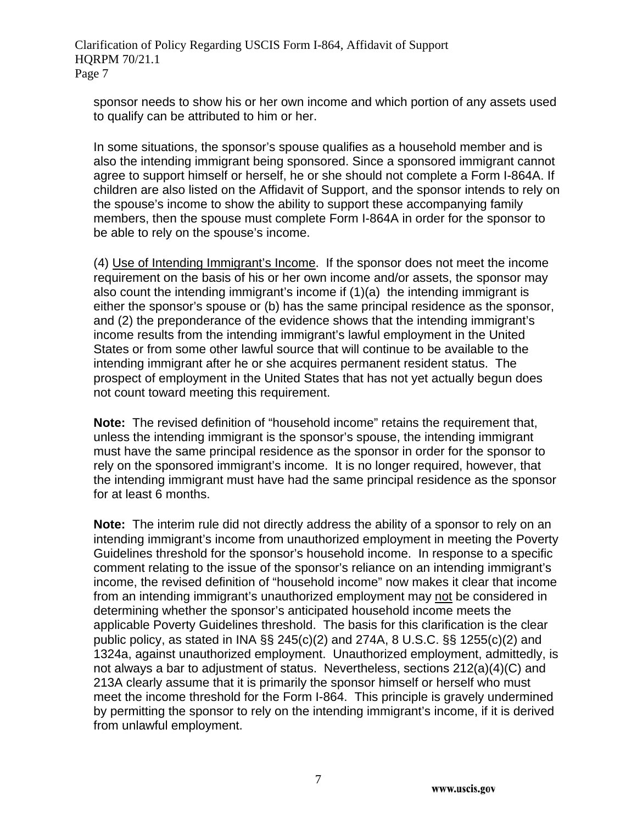sponsor needs to show his or her own income and which portion of any assets used to qualify can be attributed to him or her.

In some situations, the sponsor's spouse qualifies as a household member and is also the intending immigrant being sponsored. Since a sponsored immigrant cannot agree to support himself or herself, he or she should not complete a Form I-864A. If children are also listed on the Affidavit of Support, and the sponsor intends to rely on the spouse's income to show the ability to support these accompanying family members, then the spouse must complete Form I-864A in order for the sponsor to be able to rely on the spouse's income.

(4) Use of Intending Immigrant's Income. If the sponsor does not meet the income requirement on the basis of his or her own income and/or assets, the sponsor may also count the intending immigrant's income if (1)(a) the intending immigrant is either the sponsor's spouse or (b) has the same principal residence as the sponsor, and (2) the preponderance of the evidence shows that the intending immigrant's income results from the intending immigrant's lawful employment in the United States or from some other lawful source that will continue to be available to the intending immigrant after he or she acquires permanent resident status. The prospect of employment in the United States that has not yet actually begun does not count toward meeting this requirement.

**Note:** The revised definition of "household income" retains the requirement that, unless the intending immigrant is the sponsor's spouse, the intending immigrant must have the same principal residence as the sponsor in order for the sponsor to rely on the sponsored immigrant's income. It is no longer required, however, that the intending immigrant must have had the same principal residence as the sponsor for at least 6 months.

**Note:** The interim rule did not directly address the ability of a sponsor to rely on an intending immigrant's income from unauthorized employment in meeting the Poverty Guidelines threshold for the sponsor's household income. In response to a specific comment relating to the issue of the sponsor's reliance on an intending immigrant's income, the revised definition of "household income" now makes it clear that income from an intending immigrant's unauthorized employment may not be considered in determining whether the sponsor's anticipated household income meets the applicable Poverty Guidelines threshold. The basis for this clarification is the clear public policy, as stated in INA §§ 245(c)(2) and 274A, 8 U.S.C. §§ 1255(c)(2) and 1324a, against unauthorized employment. Unauthorized employment, admittedly, is not always a bar to adjustment of status. Nevertheless, sections 212(a)(4)(C) and 213A clearly assume that it is primarily the sponsor himself or herself who must meet the income threshold for the Form I-864. This principle is gravely undermined by permitting the sponsor to rely on the intending immigrant's income, if it is derived from unlawful employment.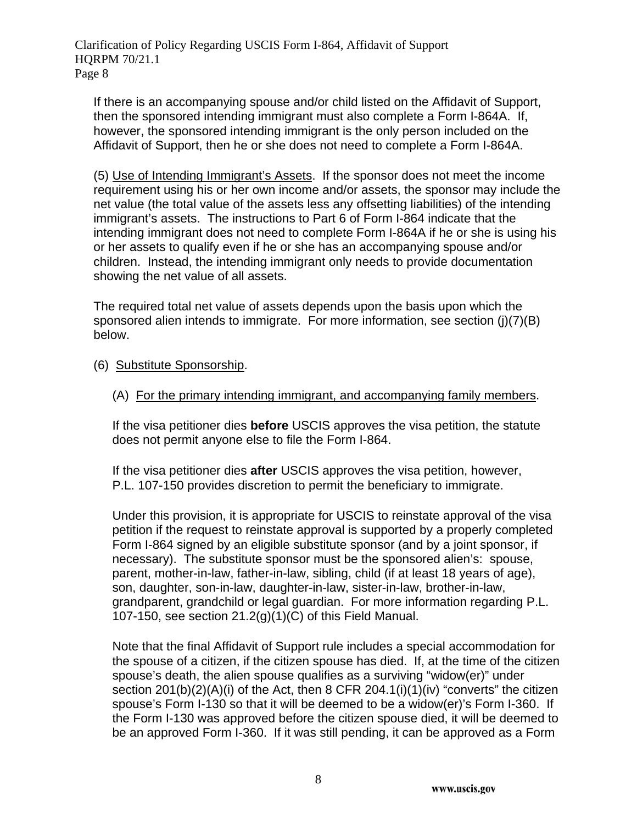If there is an accompanying spouse and/or child listed on the Affidavit of Support, then the sponsored intending immigrant must also complete a Form I-864A. If, however, the sponsored intending immigrant is the only person included on the Affidavit of Support, then he or she does not need to complete a Form I-864A.

(5) Use of Intending Immigrant's Assets. If the sponsor does not meet the income requirement using his or her own income and/or assets, the sponsor may include the net value (the total value of the assets less any offsetting liabilities) of the intending immigrant's assets. The instructions to Part 6 of Form I-864 indicate that the intending immigrant does not need to complete Form I-864A if he or she is using his or her assets to qualify even if he or she has an accompanying spouse and/or children. Instead, the intending immigrant only needs to provide documentation showing the net value of all assets.

The required total net value of assets depends upon the basis upon which the sponsored alien intends to immigrate. For more information, see section (j)(7)(B) below.

- (6) Substitute Sponsorship.
	- (A) For the primary intending immigrant, and accompanying family members.

If the visa petitioner dies **before** USCIS approves the visa petition, the statute does not permit anyone else to file the Form I-864.

If the visa petitioner dies **after** USCIS approves the visa petition, however, P.L. 107-150 provides discretion to permit the beneficiary to immigrate.

Under this provision, it is appropriate for USCIS to reinstate approval of the visa petition if the request to reinstate approval is supported by a properly completed Form I-864 signed by an eligible substitute sponsor (and by a joint sponsor, if necessary). The substitute sponsor must be the sponsored alien's: spouse, parent, mother-in-law, father-in-law, sibling, child (if at least 18 years of age), son, daughter, son-in-law, daughter-in-law, sister-in-law, brother-in-law, grandparent, grandchild or legal guardian. For more information regarding P.L. 107-150, see section 21.2(g)(1)(C) of this Field Manual.

Note that the final Affidavit of Support rule includes a special accommodation for the spouse of a citizen, if the citizen spouse has died. If, at the time of the citizen spouse's death, the alien spouse qualifies as a surviving "widow(er)" under section 201(b)(2)(A)(i) of the Act, then 8 CFR 204.1(i)(1)(iv) "converts" the citizen spouse's Form I-130 so that it will be deemed to be a widow(er)'s Form I-360. If the Form I-130 was approved before the citizen spouse died, it will be deemed to be an approved Form I-360. If it was still pending, it can be approved as a Form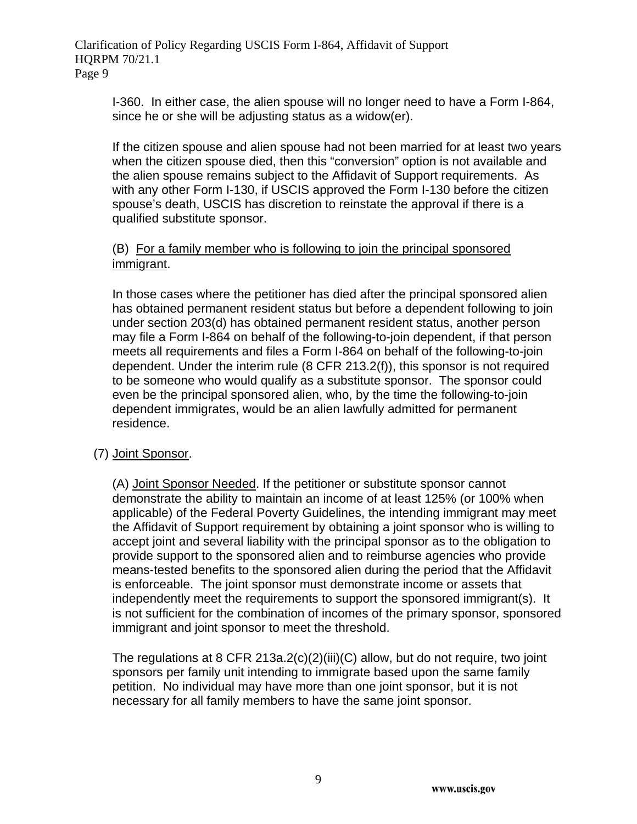I-360. In either case, the alien spouse will no longer need to have a Form I-864, since he or she will be adjusting status as a widow(er).

If the citizen spouse and alien spouse had not been married for at least two years when the citizen spouse died, then this "conversion" option is not available and the alien spouse remains subject to the Affidavit of Support requirements. As with any other Form I-130, if USCIS approved the Form I-130 before the citizen spouse's death, USCIS has discretion to reinstate the approval if there is a qualified substitute sponsor.

#### (B) For a family member who is following to join the principal sponsored immigrant.

In those cases where the petitioner has died after the principal sponsored alien has obtained permanent resident status but before a dependent following to join under section 203(d) has obtained permanent resident status, another person may file a Form I-864 on behalf of the following-to-join dependent, if that person meets all requirements and files a Form I-864 on behalf of the following-to-join dependent. Under the interim rule (8 CFR 213.2(f)), this sponsor is not required to be someone who would qualify as a substitute sponsor. The sponsor could even be the principal sponsored alien, who, by the time the following-to-join dependent immigrates, would be an alien lawfully admitted for permanent residence.

#### (7) Joint Sponsor.

(A) Joint Sponsor Needed. If the petitioner or substitute sponsor cannot demonstrate the ability to maintain an income of at least 125% (or 100% when applicable) of the Federal Poverty Guidelines, the intending immigrant may meet the Affidavit of Support requirement by obtaining a joint sponsor who is willing to accept joint and several liability with the principal sponsor as to the obligation to provide support to the sponsored alien and to reimburse agencies who provide means-tested benefits to the sponsored alien during the period that the Affidavit is enforceable. The joint sponsor must demonstrate income or assets that independently meet the requirements to support the sponsored immigrant(s). It is not sufficient for the combination of incomes of the primary sponsor, sponsored immigrant and joint sponsor to meet the threshold.

The regulations at 8 CFR 213a.2(c)(2)(iii)(C) allow, but do not require, two joint sponsors per family unit intending to immigrate based upon the same family petition. No individual may have more than one joint sponsor, but it is not necessary for all family members to have the same joint sponsor.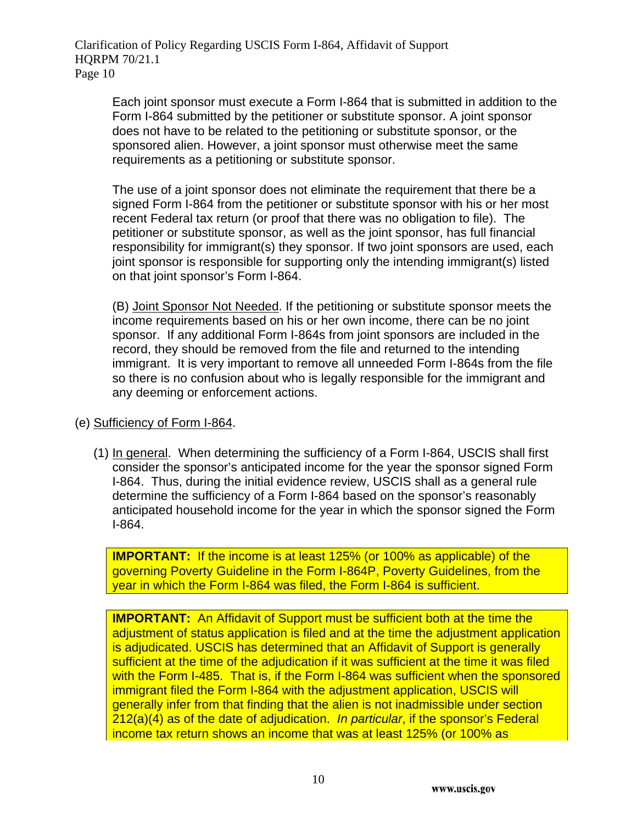> Each joint sponsor must execute a Form I-864 that is submitted in addition to the Form I-864 submitted by the petitioner or substitute sponsor. A joint sponsor does not have to be related to the petitioning or substitute sponsor, or the sponsored alien. However, a joint sponsor must otherwise meet the same requirements as a petitioning or substitute sponsor.

> The use of a joint sponsor does not eliminate the requirement that there be a signed Form I-864 from the petitioner or substitute sponsor with his or her most recent Federal tax return (or proof that there was no obligation to file). The petitioner or substitute sponsor, as well as the joint sponsor, has full financial responsibility for immigrant(s) they sponsor. If two joint sponsors are used, each joint sponsor is responsible for supporting only the intending immigrant(s) listed on that joint sponsor's Form I-864.

> (B) Joint Sponsor Not Needed. If the petitioning or substitute sponsor meets the income requirements based on his or her own income, there can be no joint sponsor. If any additional Form I-864s from joint sponsors are included in the record, they should be removed from the file and returned to the intending immigrant. It is very important to remove all unneeded Form I-864s from the file so there is no confusion about who is legally responsible for the immigrant and any deeming or enforcement actions.

#### (e) Sufficiency of Form I-864.

(1) In general. When determining the sufficiency of a Form I-864, USCIS shall first consider the sponsor's anticipated income for the year the sponsor signed Form I-864. Thus, during the initial evidence review, USCIS shall as a general rule determine the sufficiency of a Form I-864 based on the sponsor's reasonably anticipated household income for the year in which the sponsor signed the Form I-864.

**IMPORTANT:** If the income is at least 125% (or 100% as applicable) of the governing Poverty Guideline in the Form I-864P, Poverty Guidelines, from the year in which the Form I-864 was filed, the Form I-864 is sufficient.

**IMPORTANT:** An Affidavit of Support must be sufficient both at the time the adjustment of status application is filed and at the time the adjustment application is adjudicated. USCIS has determined that an Affidavit of Support is generally sufficient at the time of the adjudication if it was sufficient at the time it was filed with the Form I-485. That is, if the Form I-864 was sufficient when the sponsored immigrant filed the Form I-864 with the adjustment application, USCIS will generally infer from that finding that the alien is not inadmissible under section 212(a)(4) as of the date of adjudication. *In particular*, if the sponsor's Federal income tax return shows an income that was at least 125% (or 100% as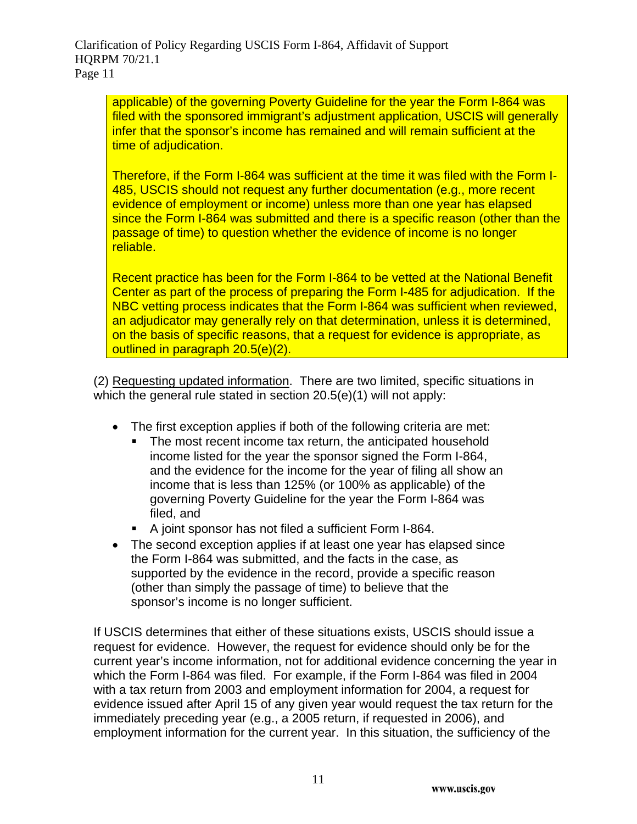applicable) of the governing Poverty Guideline for the year the Form I-864 was filed with the sponsored immigrant's adjustment application, USCIS will generally infer that the sponsor's income has remained and will remain sufficient at the time of adjudication.

Therefore, if the Form I-864 was sufficient at the time it was filed with the Form I-485, USCIS should not request any further documentation (e.g., more recent evidence of employment or income) unless more than one year has elapsed since the Form I-864 was submitted and there is a specific reason (other than the passage of time) to question whether the evidence of income is no longer reliable.

Recent practice has been for the Form I-864 to be vetted at the National Benefit Center as part of the process of preparing the Form I-485 for adjudication. If the NBC vetting process indicates that the Form I-864 was sufficient when reviewed, an adjudicator may generally rely on that determination, unless it is determined, on the basis of specific reasons, that a request for evidence is appropriate, as outlined in paragraph 20.5(e)(2).

(2) Requesting updated information. There are two limited, specific situations in which the general rule stated in section 20.5(e)(1) will not apply:

- The first exception applies if both of the following criteria are met:
	- The most recent income tax return, the anticipated household income listed for the year the sponsor signed the Form I-864, and the evidence for the income for the year of filing all show an income that is less than 125% (or 100% as applicable) of the governing Poverty Guideline for the year the Form I-864 was filed, and
	- A joint sponsor has not filed a sufficient Form I-864.
- The second exception applies if at least one year has elapsed since the Form I-864 was submitted, and the facts in the case, as supported by the evidence in the record, provide a specific reason (other than simply the passage of time) to believe that the sponsor's income is no longer sufficient.

If USCIS determines that either of these situations exists, USCIS should issue a request for evidence. However, the request for evidence should only be for the current year's income information, not for additional evidence concerning the year in which the Form I-864 was filed. For example, if the Form I-864 was filed in 2004 with a tax return from 2003 and employment information for 2004, a request for evidence issued after April 15 of any given year would request the tax return for the immediately preceding year (e.g., a 2005 return, if requested in 2006), and employment information for the current year. In this situation, the sufficiency of the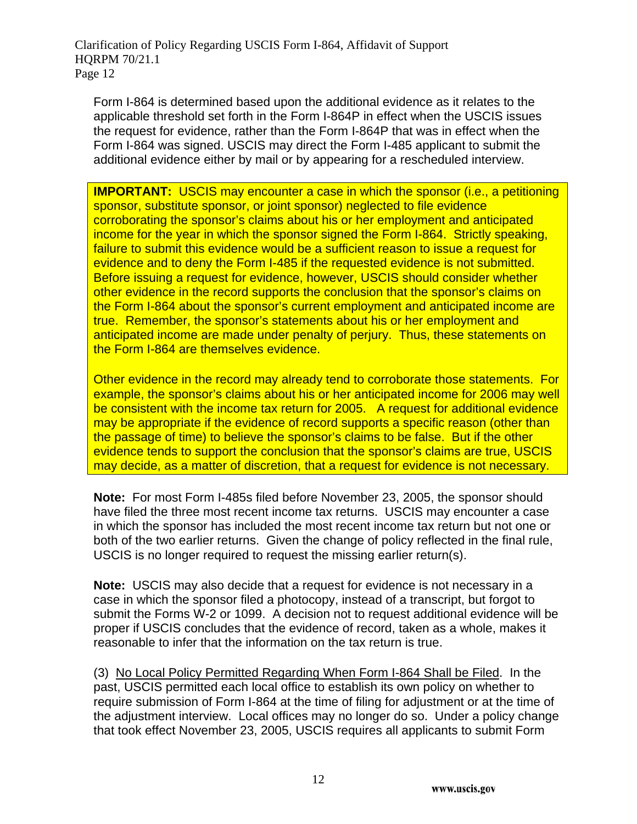Form I-864 is determined based upon the additional evidence as it relates to the applicable threshold set forth in the Form I-864P in effect when the USCIS issues the request for evidence, rather than the Form I-864P that was in effect when the Form I-864 was signed. USCIS may direct the Form I-485 applicant to submit the additional evidence either by mail or by appearing for a rescheduled interview.

**IMPORTANT:** USCIS may encounter a case in which the sponsor (i.e., a petitioning sponsor, substitute sponsor, or joint sponsor) neglected to file evidence corroborating the sponsor's claims about his or her employment and anticipated income for the year in which the sponsor signed the Form I-864. Strictly speaking, failure to submit this evidence would be a sufficient reason to issue a request for evidence and to deny the Form I-485 if the requested evidence is not submitted. Before issuing a request for evidence, however, USCIS should consider whether other evidence in the record supports the conclusion that the sponsor's claims on the Form I-864 about the sponsor's current employment and anticipated income are true. Remember, the sponsor's statements about his or her employment and anticipated income are made under penalty of perjury. Thus, these statements on the Form I-864 are themselves evidence.

Other evidence in the record may already tend to corroborate those statements. For example, the sponsor's claims about his or her anticipated income for 2006 may well be consistent with the income tax return for 2005. A request for additional evidence may be appropriate if the evidence of record supports a specific reason (other than the passage of time) to believe the sponsor's claims to be false. But if the other evidence tends to support the conclusion that the sponsor's claims are true, USCIS may decide, as a matter of discretion, that a request for evidence is not necessary.

**Note:** For most Form I-485s filed before November 23, 2005, the sponsor should have filed the three most recent income tax returns. USCIS may encounter a case in which the sponsor has included the most recent income tax return but not one or both of the two earlier returns. Given the change of policy reflected in the final rule, USCIS is no longer required to request the missing earlier return(s).

**Note:** USCIS may also decide that a request for evidence is not necessary in a case in which the sponsor filed a photocopy, instead of a transcript, but forgot to submit the Forms W-2 or 1099. A decision not to request additional evidence will be proper if USCIS concludes that the evidence of record, taken as a whole, makes it reasonable to infer that the information on the tax return is true.

(3) No Local Policy Permitted Regarding When Form I-864 Shall be Filed. In the past, USCIS permitted each local office to establish its own policy on whether to require submission of Form I-864 at the time of filing for adjustment or at the time of the adjustment interview. Local offices may no longer do so. Under a policy change that took effect November 23, 2005, USCIS requires all applicants to submit Form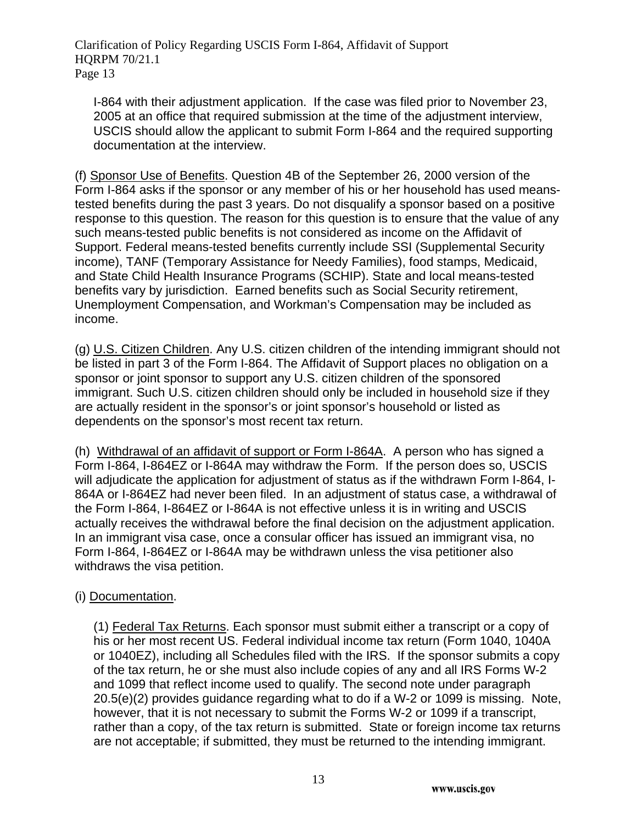I-864 with their adjustment application. If the case was filed prior to November 23, 2005 at an office that required submission at the time of the adjustment interview, USCIS should allow the applicant to submit Form I-864 and the required supporting documentation at the interview.

(f) Sponsor Use of Benefits. Question 4B of the September 26, 2000 version of the Form I-864 asks if the sponsor or any member of his or her household has used meanstested benefits during the past 3 years. Do not disqualify a sponsor based on a positive response to this question. The reason for this question is to ensure that the value of any such means-tested public benefits is not considered as income on the Affidavit of Support. Federal means-tested benefits currently include SSI (Supplemental Security income), TANF (Temporary Assistance for Needy Families), food stamps, Medicaid, and State Child Health Insurance Programs (SCHIP). State and local means-tested benefits vary by jurisdiction. Earned benefits such as Social Security retirement, Unemployment Compensation, and Workman's Compensation may be included as income.

(g) U.S. Citizen Children. Any U.S. citizen children of the intending immigrant should not be listed in part 3 of the Form I-864. The Affidavit of Support places no obligation on a sponsor or joint sponsor to support any U.S. citizen children of the sponsored immigrant. Such U.S. citizen children should only be included in household size if they are actually resident in the sponsor's or joint sponsor's household or listed as dependents on the sponsor's most recent tax return.

(h) Withdrawal of an affidavit of support or Form I-864A. A person who has signed a Form I-864, I-864EZ or I-864A may withdraw the Form. If the person does so, USCIS will adjudicate the application for adjustment of status as if the withdrawn Form I-864, I-864A or I-864EZ had never been filed. In an adjustment of status case, a withdrawal of the Form I-864, I-864EZ or I-864A is not effective unless it is in writing and USCIS actually receives the withdrawal before the final decision on the adjustment application. In an immigrant visa case, once a consular officer has issued an immigrant visa, no Form I-864, I-864EZ or I-864A may be withdrawn unless the visa petitioner also withdraws the visa petition.

# (i) Documentation.

(1) Federal Tax Returns. Each sponsor must submit either a transcript or a copy of his or her most recent US. Federal individual income tax return (Form 1040, 1040A or 1040EZ), including all Schedules filed with the IRS. If the sponsor submits a copy of the tax return, he or she must also include copies of any and all IRS Forms W-2 and 1099 that reflect income used to qualify. The second note under paragraph 20.5(e)(2) provides guidance regarding what to do if a W-2 or 1099 is missing. Note, however, that it is not necessary to submit the Forms W-2 or 1099 if a transcript, rather than a copy, of the tax return is submitted. State or foreign income tax returns are not acceptable; if submitted, they must be returned to the intending immigrant.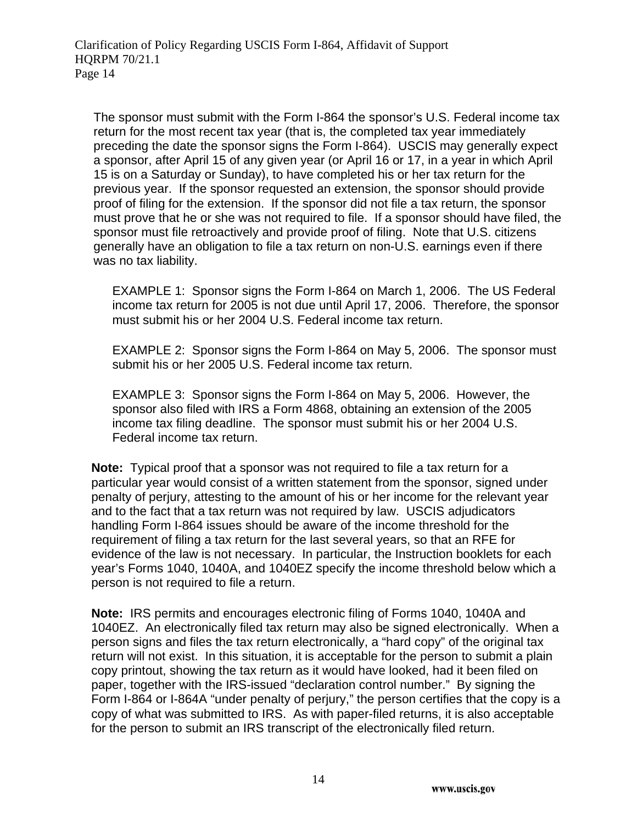The sponsor must submit with the Form I-864 the sponsor's U.S. Federal income tax return for the most recent tax year (that is, the completed tax year immediately preceding the date the sponsor signs the Form I-864). USCIS may generally expect a sponsor, after April 15 of any given year (or April 16 or 17, in a year in which April 15 is on a Saturday or Sunday), to have completed his or her tax return for the previous year. If the sponsor requested an extension, the sponsor should provide proof of filing for the extension. If the sponsor did not file a tax return, the sponsor must prove that he or she was not required to file. If a sponsor should have filed, the sponsor must file retroactively and provide proof of filing. Note that U.S. citizens generally have an obligation to file a tax return on non-U.S. earnings even if there was no tax liability.

EXAMPLE 1: Sponsor signs the Form I-864 on March 1, 2006. The US Federal income tax return for 2005 is not due until April 17, 2006. Therefore, the sponsor must submit his or her 2004 U.S. Federal income tax return.

EXAMPLE 2: Sponsor signs the Form I-864 on May 5, 2006. The sponsor must submit his or her 2005 U.S. Federal income tax return.

EXAMPLE 3: Sponsor signs the Form I-864 on May 5, 2006. However, the sponsor also filed with IRS a Form 4868, obtaining an extension of the 2005 income tax filing deadline. The sponsor must submit his or her 2004 U.S. Federal income tax return.

**Note:** Typical proof that a sponsor was not required to file a tax return for a particular year would consist of a written statement from the sponsor, signed under penalty of perjury, attesting to the amount of his or her income for the relevant year and to the fact that a tax return was not required by law. USCIS adjudicators handling Form I-864 issues should be aware of the income threshold for the requirement of filing a tax return for the last several years, so that an RFE for evidence of the law is not necessary. In particular, the Instruction booklets for each year's Forms 1040, 1040A, and 1040EZ specify the income threshold below which a person is not required to file a return.

**Note:** IRS permits and encourages electronic filing of Forms 1040, 1040A and 1040EZ. An electronically filed tax return may also be signed electronically. When a person signs and files the tax return electronically, a "hard copy" of the original tax return will not exist. In this situation, it is acceptable for the person to submit a plain copy printout, showing the tax return as it would have looked, had it been filed on paper, together with the IRS-issued "declaration control number." By signing the Form I-864 or I-864A "under penalty of perjury," the person certifies that the copy is a copy of what was submitted to IRS. As with paper-filed returns, it is also acceptable for the person to submit an IRS transcript of the electronically filed return.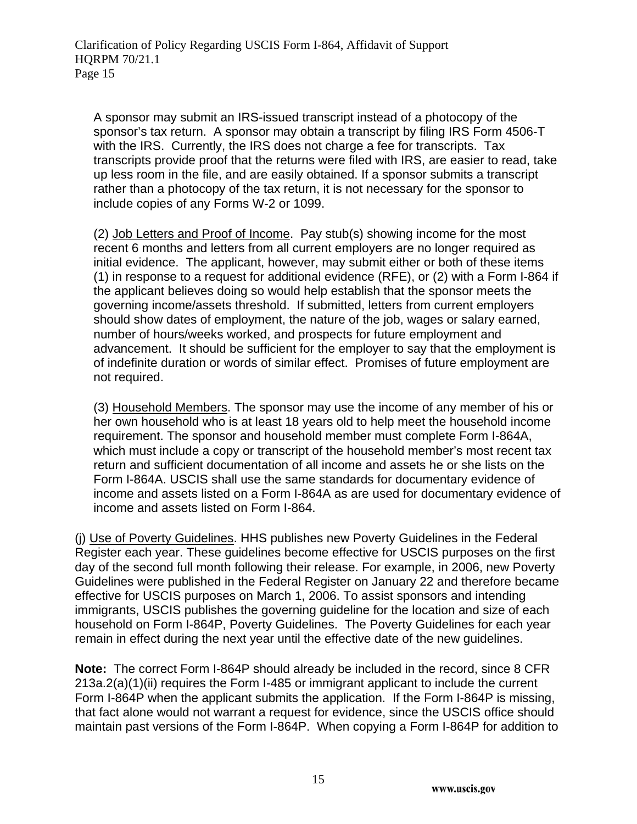A sponsor may submit an IRS-issued transcript instead of a photocopy of the sponsor's tax return. A sponsor may obtain a transcript by filing IRS Form 4506-T with the IRS. Currently, the IRS does not charge a fee for transcripts. Tax transcripts provide proof that the returns were filed with IRS, are easier to read, take up less room in the file, and are easily obtained. If a sponsor submits a transcript rather than a photocopy of the tax return, it is not necessary for the sponsor to include copies of any Forms W-2 or 1099.

(2) Job Letters and Proof of Income. Pay stub(s) showing income for the most recent 6 months and letters from all current employers are no longer required as initial evidence. The applicant, however, may submit either or both of these items (1) in response to a request for additional evidence (RFE), or (2) with a Form I-864 if the applicant believes doing so would help establish that the sponsor meets the governing income/assets threshold. If submitted, letters from current employers should show dates of employment, the nature of the job, wages or salary earned, number of hours/weeks worked, and prospects for future employment and advancement. It should be sufficient for the employer to say that the employment is of indefinite duration or words of similar effect. Promises of future employment are not required.

(3) Household Members. The sponsor may use the income of any member of his or her own household who is at least 18 years old to help meet the household income requirement. The sponsor and household member must complete Form I-864A, which must include a copy or transcript of the household member's most recent tax return and sufficient documentation of all income and assets he or she lists on the Form I-864A. USCIS shall use the same standards for documentary evidence of income and assets listed on a Form I-864A as are used for documentary evidence of income and assets listed on Form I-864.

(j) Use of Poverty Guidelines. HHS publishes new Poverty Guidelines in the Federal Register each year. These guidelines become effective for USCIS purposes on the first day of the second full month following their release. For example, in 2006, new Poverty Guidelines were published in the Federal Register on January 22 and therefore became effective for USCIS purposes on March 1, 2006. To assist sponsors and intending immigrants, USCIS publishes the governing guideline for the location and size of each household on Form I-864P, Poverty Guidelines. The Poverty Guidelines for each year remain in effect during the next year until the effective date of the new guidelines.

**Note:** The correct Form I-864P should already be included in the record, since 8 CFR 213a.2(a)(1)(ii) requires the Form I-485 or immigrant applicant to include the current Form I-864P when the applicant submits the application. If the Form I-864P is missing, that fact alone would not warrant a request for evidence, since the USCIS office should maintain past versions of the Form I-864P. When copying a Form I-864P for addition to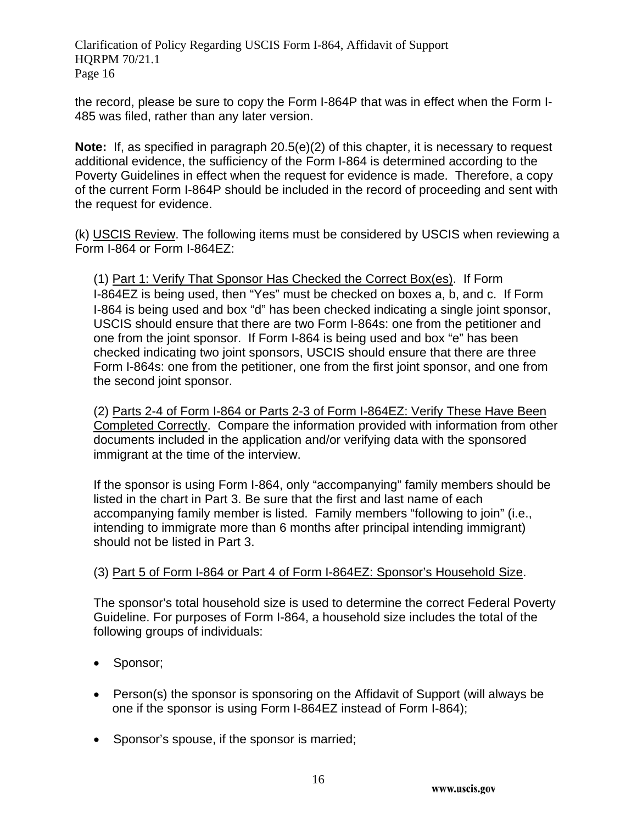the record, please be sure to copy the Form I-864P that was in effect when the Form I-485 was filed, rather than any later version.

**Note:** If, as specified in paragraph 20.5(e)(2) of this chapter, it is necessary to request additional evidence, the sufficiency of the Form I-864 is determined according to the Poverty Guidelines in effect when the request for evidence is made. Therefore, a copy of the current Form I-864P should be included in the record of proceeding and sent with the request for evidence.

(k) USCIS Review. The following items must be considered by USCIS when reviewing a Form I-864 or Form I-864EZ:

(1) Part 1: Verify That Sponsor Has Checked the Correct Box(es). If Form I-864EZ is being used, then "Yes" must be checked on boxes a, b, and c. If Form I-864 is being used and box "d" has been checked indicating a single joint sponsor, USCIS should ensure that there are two Form I-864s: one from the petitioner and one from the joint sponsor. If Form I-864 is being used and box "e" has been checked indicating two joint sponsors, USCIS should ensure that there are three Form I-864s: one from the petitioner, one from the first joint sponsor, and one from the second joint sponsor.

(2) Parts 2-4 of Form I-864 or Parts 2-3 of Form I-864EZ: Verify These Have Been Completed Correctly. Compare the information provided with information from other documents included in the application and/or verifying data with the sponsored immigrant at the time of the interview.

If the sponsor is using Form I-864, only "accompanying" family members should be listed in the chart in Part 3. Be sure that the first and last name of each accompanying family member is listed. Family members "following to join" (i.e., intending to immigrate more than 6 months after principal intending immigrant) should not be listed in Part 3.

# (3) Part 5 of Form I-864 or Part 4 of Form I-864EZ: Sponsor's Household Size.

The sponsor's total household size is used to determine the correct Federal Poverty Guideline. For purposes of Form I-864, a household size includes the total of the following groups of individuals:

- Sponsor;
- Person(s) the sponsor is sponsoring on the Affidavit of Support (will always be one if the sponsor is using Form I-864EZ instead of Form I-864);
- Sponsor's spouse, if the sponsor is married;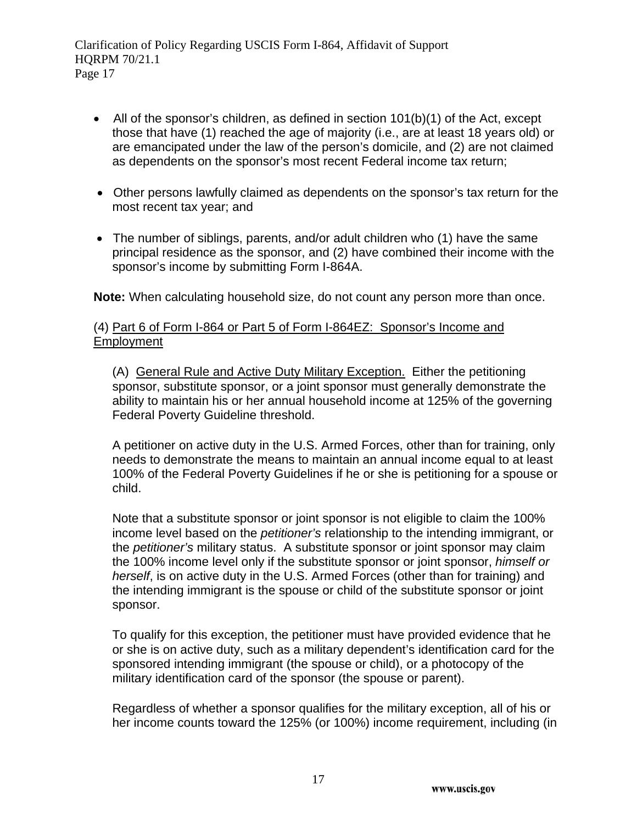- All of the sponsor's children, as defined in section  $101(b)(1)$  of the Act, except those that have (1) reached the age of majority (i.e., are at least 18 years old) or are emancipated under the law of the person's domicile, and (2) are not claimed as dependents on the sponsor's most recent Federal income tax return;
- Other persons lawfully claimed as dependents on the sponsor's tax return for the most recent tax year; and
- The number of siblings, parents, and/or adult children who (1) have the same principal residence as the sponsor, and (2) have combined their income with the sponsor's income by submitting Form I-864A.

**Note:** When calculating household size, do not count any person more than once.

#### (4) Part 6 of Form I-864 or Part 5 of Form I-864EZ: Sponsor's Income and Employment

(A) General Rule and Active Duty Military Exception. Either the petitioning sponsor, substitute sponsor, or a joint sponsor must generally demonstrate the ability to maintain his or her annual household income at 125% of the governing Federal Poverty Guideline threshold.

A petitioner on active duty in the U.S. Armed Forces, other than for training, only needs to demonstrate the means to maintain an annual income equal to at least 100% of the Federal Poverty Guidelines if he or she is petitioning for a spouse or child.

Note that a substitute sponsor or joint sponsor is not eligible to claim the 100% income level based on the *petitioner's* relationship to the intending immigrant, or the *petitioner's* military status. A substitute sponsor or joint sponsor may claim the 100% income level only if the substitute sponsor or joint sponsor, *himself or herself*, is on active duty in the U.S. Armed Forces (other than for training) and the intending immigrant is the spouse or child of the substitute sponsor or joint sponsor.

To qualify for this exception, the petitioner must have provided evidence that he or she is on active duty, such as a military dependent's identification card for the sponsored intending immigrant (the spouse or child), or a photocopy of the military identification card of the sponsor (the spouse or parent).

Regardless of whether a sponsor qualifies for the military exception, all of his or her income counts toward the 125% (or 100%) income requirement, including (in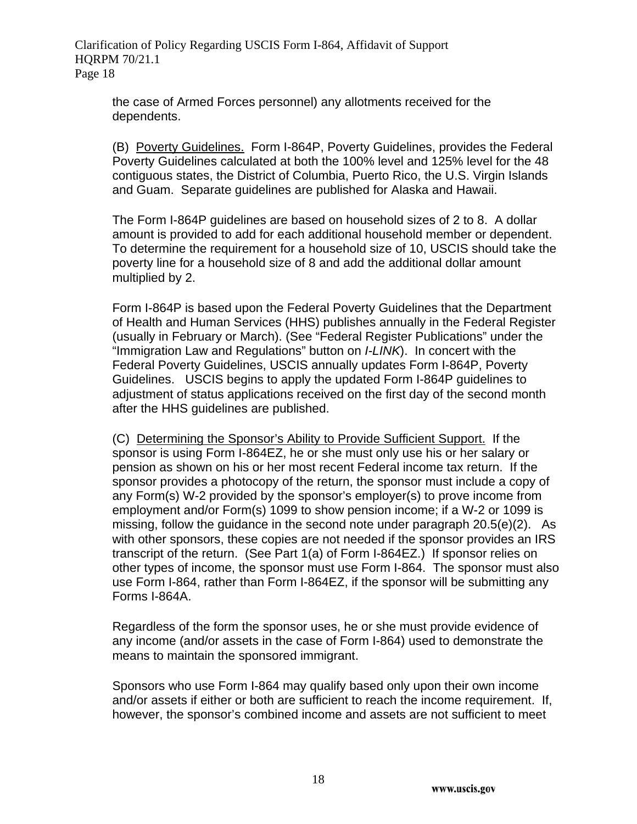the case of Armed Forces personnel) any allotments received for the dependents.

(B) Poverty Guidelines. Form I-864P, Poverty Guidelines, provides the Federal Poverty Guidelines calculated at both the 100% level and 125% level for the 48 contiguous states, the District of Columbia, Puerto Rico, the U.S. Virgin Islands and Guam. Separate guidelines are published for Alaska and Hawaii.

The Form I-864P guidelines are based on household sizes of 2 to 8. A dollar amount is provided to add for each additional household member or dependent. To determine the requirement for a household size of 10, USCIS should take the poverty line for a household size of 8 and add the additional dollar amount multiplied by 2.

Form I-864P is based upon the Federal Poverty Guidelines that the Department of Health and Human Services (HHS) publishes annually in the Federal Register (usually in February or March). (See "Federal Register Publications" under the "Immigration Law and Regulations" button on *I-LINK*). In concert with the Federal Poverty Guidelines, USCIS annually updates Form I-864P, Poverty Guidelines. USCIS begins to apply the updated Form I-864P guidelines to adjustment of status applications received on the first day of the second month after the HHS guidelines are published.

(C) Determining the Sponsor's Ability to Provide Sufficient Support. If the sponsor is using Form I-864EZ, he or she must only use his or her salary or pension as shown on his or her most recent Federal income tax return. If the sponsor provides a photocopy of the return, the sponsor must include a copy of any Form(s) W-2 provided by the sponsor's employer(s) to prove income from employment and/or Form(s) 1099 to show pension income; if a W-2 or 1099 is missing, follow the guidance in the second note under paragraph 20.5(e)(2). As with other sponsors, these copies are not needed if the sponsor provides an IRS transcript of the return. (See Part 1(a) of Form I-864EZ.) If sponsor relies on other types of income, the sponsor must use Form I-864. The sponsor must also use Form I-864, rather than Form I-864EZ, if the sponsor will be submitting any Forms I-864A.

Regardless of the form the sponsor uses, he or she must provide evidence of any income (and/or assets in the case of Form I-864) used to demonstrate the means to maintain the sponsored immigrant.

Sponsors who use Form I-864 may qualify based only upon their own income and/or assets if either or both are sufficient to reach the income requirement. If, however, the sponsor's combined income and assets are not sufficient to meet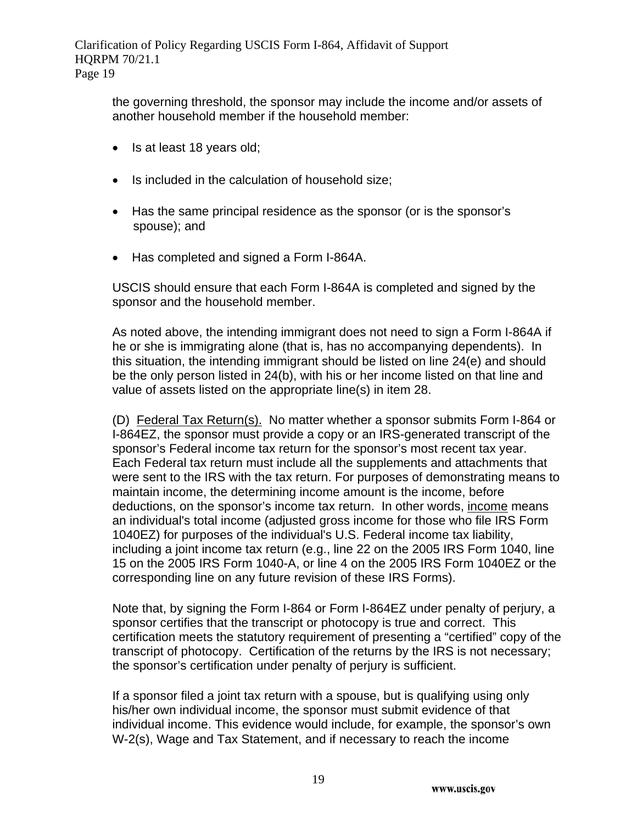the governing threshold, the sponsor may include the income and/or assets of another household member if the household member:

- Is at least 18 years old;
- Is included in the calculation of household size;
- Has the same principal residence as the sponsor (or is the sponsor's spouse); and
- Has completed and signed a Form I-864A.

USCIS should ensure that each Form I-864A is completed and signed by the sponsor and the household member.

As noted above, the intending immigrant does not need to sign a Form I-864A if he or she is immigrating alone (that is, has no accompanying dependents). In this situation, the intending immigrant should be listed on line 24(e) and should be the only person listed in 24(b), with his or her income listed on that line and value of assets listed on the appropriate line(s) in item 28.

(D) Federal Tax Return(s). No matter whether a sponsor submits Form I-864 or I-864EZ, the sponsor must provide a copy or an IRS-generated transcript of the sponsor's Federal income tax return for the sponsor's most recent tax year. Each Federal tax return must include all the supplements and attachments that were sent to the IRS with the tax return. For purposes of demonstrating means to maintain income, the determining income amount is the income, before deductions, on the sponsor's income tax return. In other words, income means an individual's total income (adjusted gross income for those who file IRS Form 1040EZ) for purposes of the individual's U.S. Federal income tax liability, including a joint income tax return (e.g., line 22 on the 2005 IRS Form 1040, line 15 on the 2005 IRS Form 1040-A, or line 4 on the 2005 IRS Form 1040EZ or the corresponding line on any future revision of these IRS Forms).

Note that, by signing the Form I-864 or Form I-864EZ under penalty of perjury, a sponsor certifies that the transcript or photocopy is true and correct. This certification meets the statutory requirement of presenting a "certified" copy of the transcript of photocopy. Certification of the returns by the IRS is not necessary; the sponsor's certification under penalty of perjury is sufficient.

If a sponsor filed a joint tax return with a spouse, but is qualifying using only his/her own individual income, the sponsor must submit evidence of that individual income. This evidence would include, for example, the sponsor's own W-2(s), Wage and Tax Statement, and if necessary to reach the income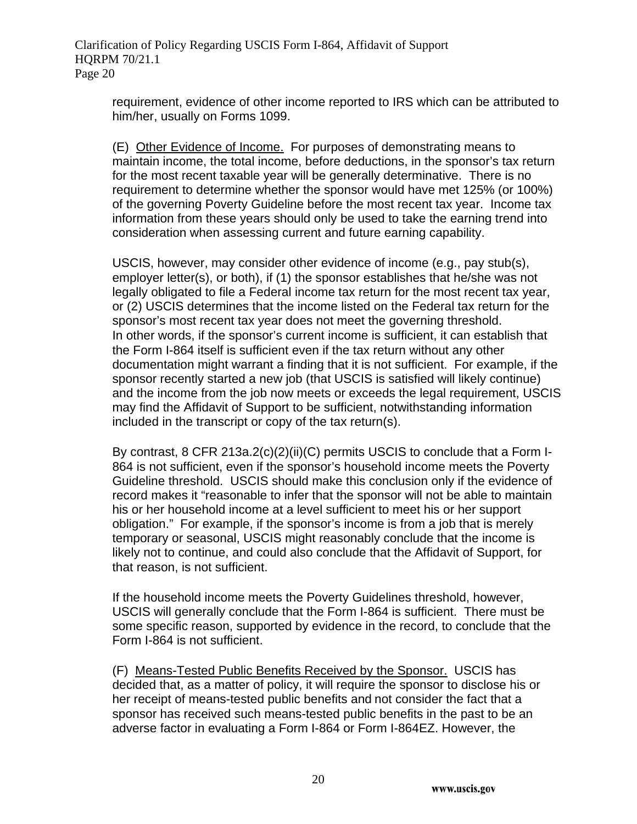requirement, evidence of other income reported to IRS which can be attributed to him/her, usually on Forms 1099.

(E) Other Evidence of Income. For purposes of demonstrating means to maintain income, the total income, before deductions, in the sponsor's tax return for the most recent taxable year will be generally determinative. There is no requirement to determine whether the sponsor would have met 125% (or 100%) of the governing Poverty Guideline before the most recent tax year. Income tax information from these years should only be used to take the earning trend into consideration when assessing current and future earning capability.

USCIS, however, may consider other evidence of income (e.g., pay stub(s), employer letter(s), or both), if (1) the sponsor establishes that he/she was not legally obligated to file a Federal income tax return for the most recent tax year, or (2) USCIS determines that the income listed on the Federal tax return for the sponsor's most recent tax year does not meet the governing threshold. In other words, if the sponsor's current income is sufficient, it can establish that the Form I-864 itself is sufficient even if the tax return without any other documentation might warrant a finding that it is not sufficient. For example, if the sponsor recently started a new job (that USCIS is satisfied will likely continue) and the income from the job now meets or exceeds the legal requirement, USCIS may find the Affidavit of Support to be sufficient, notwithstanding information included in the transcript or copy of the tax return(s).

By contrast, 8 CFR 213a.2(c)(2)(ii)(C) permits USCIS to conclude that a Form I-864 is not sufficient, even if the sponsor's household income meets the Poverty Guideline threshold. USCIS should make this conclusion only if the evidence of record makes it "reasonable to infer that the sponsor will not be able to maintain his or her household income at a level sufficient to meet his or her support obligation." For example, if the sponsor's income is from a job that is merely temporary or seasonal, USCIS might reasonably conclude that the income is likely not to continue, and could also conclude that the Affidavit of Support, for that reason, is not sufficient.

If the household income meets the Poverty Guidelines threshold, however, USCIS will generally conclude that the Form I-864 is sufficient. There must be some specific reason, supported by evidence in the record, to conclude that the Form I-864 is not sufficient.

(F)Means-Tested Public Benefits Received by the Sponsor.USCIS has decided that, as a matter of policy, it will require the sponsor to disclose his or her receipt of means-tested public benefits and not consider the fact that a sponsor has received such means-tested public benefits in the past to be an adverse factor in evaluating a Form I-864 or Form I-864EZ. However, the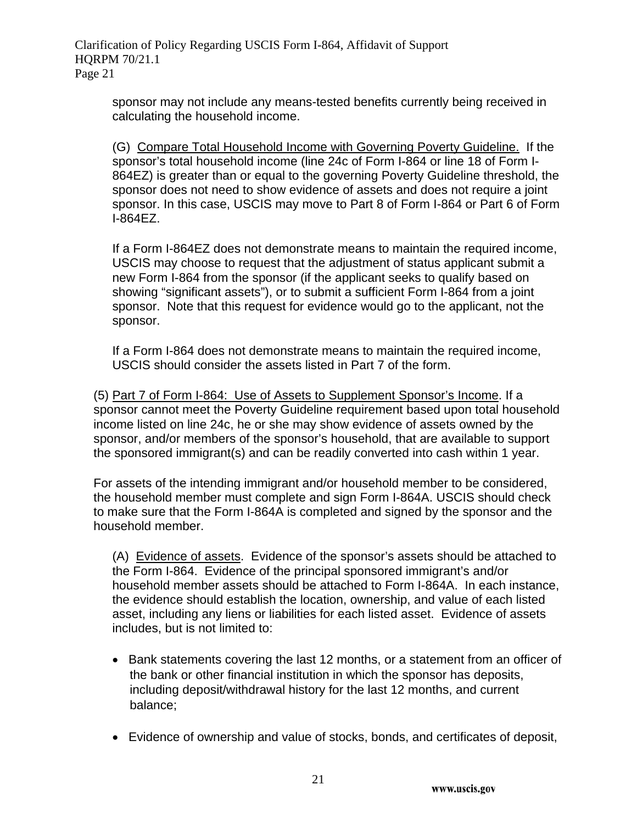sponsor may not include any means-tested benefits currently being received in calculating the household income.

(G) Compare Total Household Income with Governing Poverty Guideline. If the sponsor's total household income (line 24c of Form I-864 or line 18 of Form I-864EZ) is greater than or equal to the governing Poverty Guideline threshold, the sponsor does not need to show evidence of assets and does not require a joint sponsor. In this case, USCIS may move to Part 8 of Form I-864 or Part 6 of Form I-864EZ.

If a Form I-864EZ does not demonstrate means to maintain the required income, USCIS may choose to request that the adjustment of status applicant submit a new Form I-864 from the sponsor (if the applicant seeks to qualify based on showing "significant assets"), or to submit a sufficient Form I-864 from a joint sponsor. Note that this request for evidence would go to the applicant, not the sponsor.

If a Form I-864 does not demonstrate means to maintain the required income, USCIS should consider the assets listed in Part 7 of the form.

(5) Part 7 of Form I-864: Use of Assets to Supplement Sponsor's Income. If a sponsor cannot meet the Poverty Guideline requirement based upon total household income listed on line 24c, he or she may show evidence of assets owned by the sponsor, and/or members of the sponsor's household, that are available to support the sponsored immigrant(s) and can be readily converted into cash within 1 year.

For assets of the intending immigrant and/or household member to be considered, the household member must complete and sign Form I-864A. USCIS should check to make sure that the Form I-864A is completed and signed by the sponsor and the household member.

(A) Evidence of assets. Evidence of the sponsor's assets should be attached to the Form I-864. Evidence of the principal sponsored immigrant's and/or household member assets should be attached to Form I-864A. In each instance, the evidence should establish the location, ownership, and value of each listed asset, including any liens or liabilities for each listed asset. Evidence of assets includes, but is not limited to:

- Bank statements covering the last 12 months, or a statement from an officer of the bank or other financial institution in which the sponsor has deposits, including deposit/withdrawal history for the last 12 months, and current balance;
- Evidence of ownership and value of stocks, bonds, and certificates of deposit,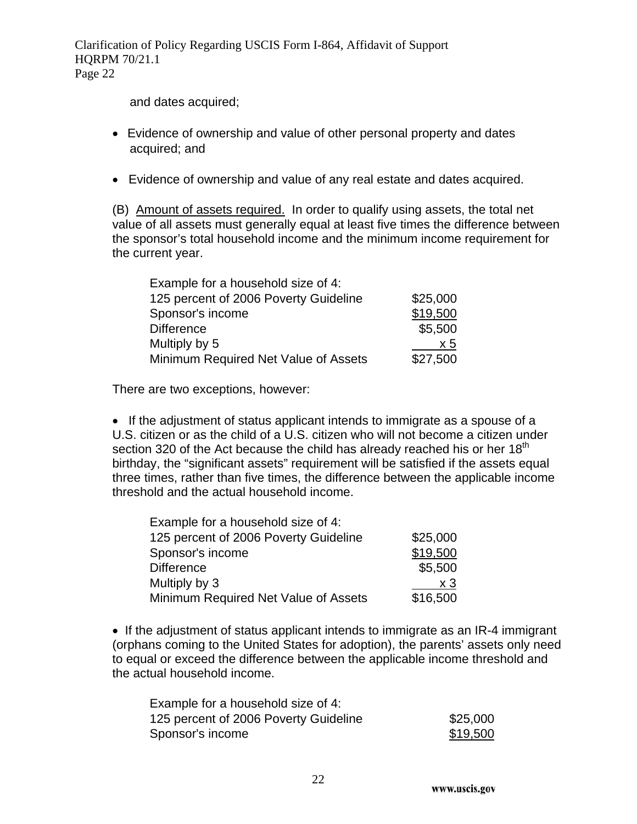and dates acquired;

- Evidence of ownership and value of other personal property and dates acquired; and
- Evidence of ownership and value of any real estate and dates acquired.

(B) Amount of assets required. In order to qualify using assets, the total net value of all assets must generally equal at least five times the difference between the sponsor's total household income and the minimum income requirement for the current year.

| Example for a household size of 4:    |                |
|---------------------------------------|----------------|
| 125 percent of 2006 Poverty Guideline | \$25,000       |
| Sponsor's income                      | \$19,500       |
| <b>Difference</b>                     | \$5,500        |
| Multiply by 5                         | x <sub>5</sub> |
| Minimum Required Net Value of Assets  | \$27,500       |

There are two exceptions, however:

• If the adjustment of status applicant intends to immigrate as a spouse of a U.S. citizen or as the child of a U.S. citizen who will not become a citizen under section 320 of the Act because the child has already reached his or her 18<sup>th</sup> birthday, the "significant assets" requirement will be satisfied if the assets equal three times, rather than five times, the difference between the applicable income threshold and the actual household income.

| Example for a household size of 4:    |          |
|---------------------------------------|----------|
| 125 percent of 2006 Poverty Guideline | \$25,000 |
| Sponsor's income                      | \$19,500 |
| <b>Difference</b>                     | \$5,500  |
| Multiply by 3                         | $x_3$    |
| Minimum Required Net Value of Assets  | \$16,500 |

• If the adjustment of status applicant intends to immigrate as an IR-4 immigrant (orphans coming to the United States for adoption), the parents' assets only need to equal or exceed the difference between the applicable income threshold and the actual household income.

| Example for a household size of 4:    |          |
|---------------------------------------|----------|
| 125 percent of 2006 Poverty Guideline | \$25,000 |
| Sponsor's income                      | \$19,500 |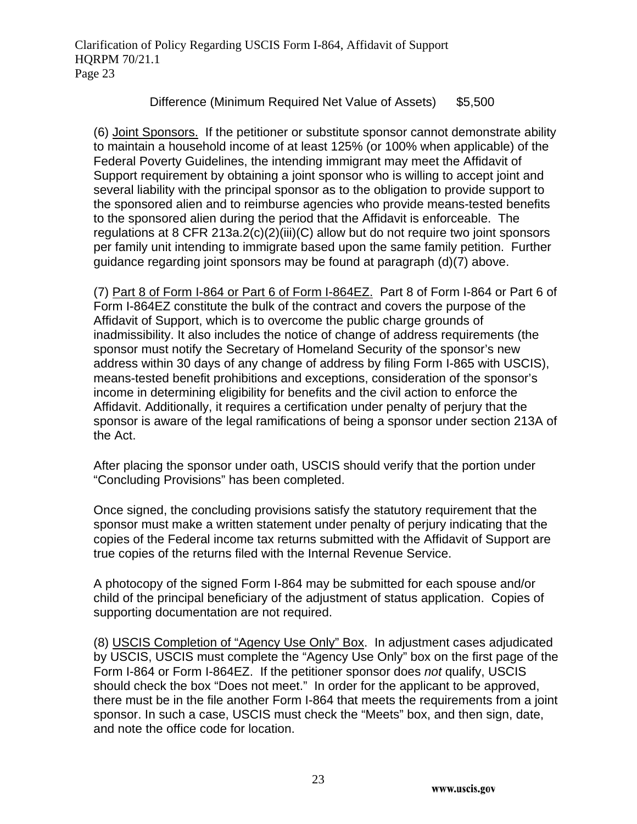#### Difference (Minimum Required Net Value of Assets) \$5,500

(6) Joint Sponsors. If the petitioner or substitute sponsor cannot demonstrate ability to maintain a household income of at least 125% (or 100% when applicable) of the Federal Poverty Guidelines, the intending immigrant may meet the Affidavit of Support requirement by obtaining a joint sponsor who is willing to accept joint and several liability with the principal sponsor as to the obligation to provide support to the sponsored alien and to reimburse agencies who provide means-tested benefits to the sponsored alien during the period that the Affidavit is enforceable. The regulations at 8 CFR 213a.2(c)(2)(iii)(C) allow but do not require two joint sponsors per family unit intending to immigrate based upon the same family petition. Further guidance regarding joint sponsors may be found at paragraph (d)(7) above.

(7) Part 8 of Form I-864 or Part 6 of Form I-864EZ. Part 8 of Form I-864 or Part 6 of Form I-864EZ constitute the bulk of the contract and covers the purpose of the Affidavit of Support, which is to overcome the public charge grounds of inadmissibility. It also includes the notice of change of address requirements (the sponsor must notify the Secretary of Homeland Security of the sponsor's new address within 30 days of any change of address by filing Form I-865 with USCIS), means-tested benefit prohibitions and exceptions, consideration of the sponsor's income in determining eligibility for benefits and the civil action to enforce the Affidavit. Additionally, it requires a certification under penalty of perjury that the sponsor is aware of the legal ramifications of being a sponsor under section 213A of the Act.

After placing the sponsor under oath, USCIS should verify that the portion under "Concluding Provisions" has been completed.

Once signed, the concluding provisions satisfy the statutory requirement that the sponsor must make a written statement under penalty of perjury indicating that the copies of the Federal income tax returns submitted with the Affidavit of Support are true copies of the returns filed with the Internal Revenue Service.

A photocopy of the signed Form I-864 may be submitted for each spouse and/or child of the principal beneficiary of the adjustment of status application. Copies of supporting documentation are not required.

(8) USCIS Completion of "Agency Use Only" Box. In adjustment cases adjudicated by USCIS, USCIS must complete the "Agency Use Only" box on the first page of the Form I-864 or Form I-864EZ. If the petitioner sponsor does *not* qualify, USCIS should check the box "Does not meet." In order for the applicant to be approved, there must be in the file another Form I-864 that meets the requirements from a joint sponsor. In such a case, USCIS must check the "Meets" box, and then sign, date, and note the office code for location.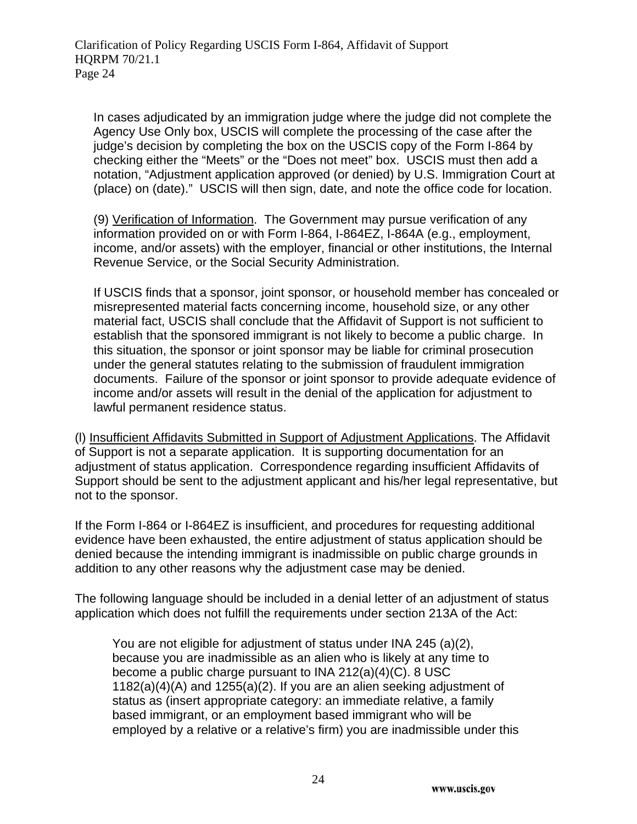In cases adjudicated by an immigration judge where the judge did not complete the Agency Use Only box, USCIS will complete the processing of the case after the judge's decision by completing the box on the USCIS copy of the Form I-864 by checking either the "Meets" or the "Does not meet" box. USCIS must then add a notation, "Adjustment application approved (or denied) by U.S. Immigration Court at (place) on (date)." USCIS will then sign, date, and note the office code for location.

(9) Verification of Information. The Government may pursue verification of any information provided on or with Form I-864, I-864EZ, I-864A (e.g., employment, income, and/or assets) with the employer, financial or other institutions, the Internal Revenue Service, or the Social Security Administration.

If USCIS finds that a sponsor, joint sponsor, or household member has concealed or misrepresented material facts concerning income, household size, or any other material fact, USCIS shall conclude that the Affidavit of Support is not sufficient to establish that the sponsored immigrant is not likely to become a public charge. In this situation, the sponsor or joint sponsor may be liable for criminal prosecution under the general statutes relating to the submission of fraudulent immigration documents. Failure of the sponsor or joint sponsor to provide adequate evidence of income and/or assets will result in the denial of the application for adjustment to lawful permanent residence status.

(l) Insufficient Affidavits Submitted in Support of Adjustment Applications. The Affidavit of Support is not a separate application. It is supporting documentation for an adjustment of status application. Correspondence regarding insufficient Affidavits of Support should be sent to the adjustment applicant and his/her legal representative, but not to the sponsor.

If the Form I-864 or I-864EZ is insufficient, and procedures for requesting additional evidence have been exhausted, the entire adjustment of status application should be denied because the intending immigrant is inadmissible on public charge grounds in addition to any other reasons why the adjustment case may be denied.

The following language should be included in a denial letter of an adjustment of status application which does not fulfill the requirements under section 213A of the Act:

You are not eligible for adjustment of status under INA 245 (a)(2), because you are inadmissible as an alien who is likely at any time to become a public charge pursuant to INA 212(a)(4)(C). 8 USC 1182(a)(4)(A) and 1255(a)(2). If you are an alien seeking adjustment of status as (insert appropriate category: an immediate relative, a family based immigrant, or an employment based immigrant who will be employed by a relative or a relative's firm) you are inadmissible under this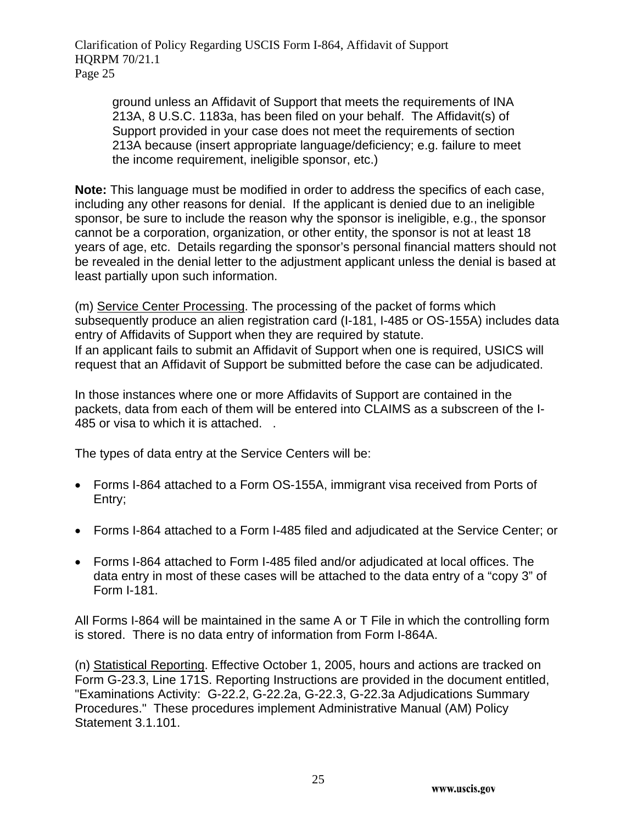ground unless an Affidavit of Support that meets the requirements of INA 213A, 8 U.S.C. 1183a, has been filed on your behalf. The Affidavit(s) of Support provided in your case does not meet the requirements of section 213A because (insert appropriate language/deficiency; e.g. failure to meet the income requirement, ineligible sponsor, etc.)

**Note:** This language must be modified in order to address the specifics of each case, including any other reasons for denial. If the applicant is denied due to an ineligible sponsor, be sure to include the reason why the sponsor is ineligible, e.g., the sponsor cannot be a corporation, organization, or other entity, the sponsor is not at least 18 years of age, etc. Details regarding the sponsor's personal financial matters should not be revealed in the denial letter to the adjustment applicant unless the denial is based at least partially upon such information.

(m) Service Center Processing. The processing of the packet of forms which subsequently produce an alien registration card (I-181, I-485 or OS-155A) includes data entry of Affidavits of Support when they are required by statute. If an applicant fails to submit an Affidavit of Support when one is required, USICS will request that an Affidavit of Support be submitted before the case can be adjudicated.

In those instances where one or more Affidavits of Support are contained in the packets, data from each of them will be entered into CLAIMS as a subscreen of the I-485 or visa to which it is attached. .

The types of data entry at the Service Centers will be:

- Forms I-864 attached to a Form OS-155A, immigrant visa received from Ports of Entry;
- Forms I-864 attached to a Form I-485 filed and adjudicated at the Service Center; or
- Forms I-864 attached to Form I-485 filed and/or adjudicated at local offices. The data entry in most of these cases will be attached to the data entry of a "copy 3" of Form I-181.

All Forms I-864 will be maintained in the same A or T File in which the controlling form is stored. There is no data entry of information from Form I-864A.

(n) Statistical Reporting. Effective October 1, 2005, hours and actions are tracked on Form G-23.3, Line 171S. Reporting Instructions are provided in the document entitled, "Examinations Activity: G-22.2, G-22.2a, G-22.3, G-22.3a Adjudications Summary Procedures." These procedures implement Administrative Manual (AM) Policy Statement 3.1.101.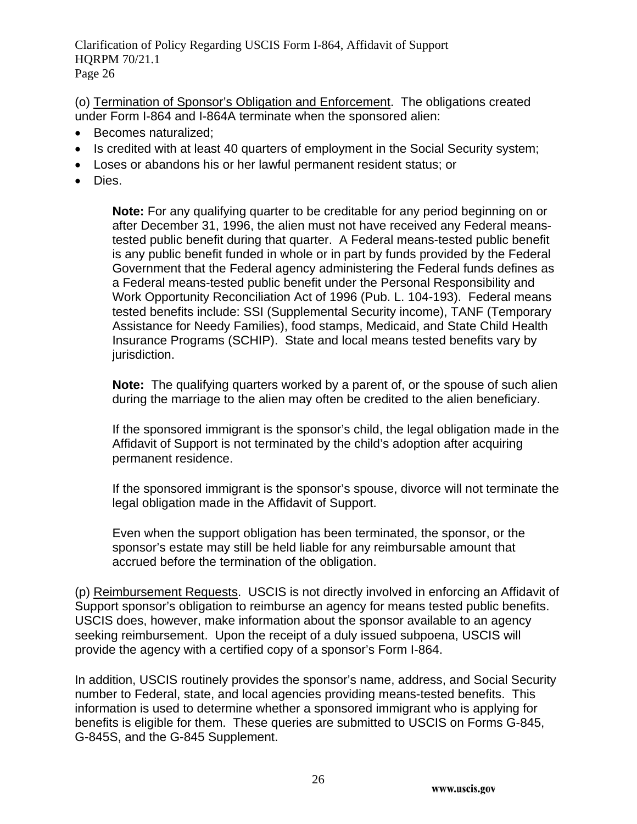(o) Termination of Sponsor's Obligation and Enforcement. The obligations created under Form I-864 and I-864A terminate when the sponsored alien:

- Becomes naturalized;
- Is credited with at least 40 quarters of employment in the Social Security system;
- Loses or abandons his or her lawful permanent resident status; or
- Dies.

**Note:** For any qualifying quarter to be creditable for any period beginning on or after December 31, 1996, the alien must not have received any Federal meanstested public benefit during that quarter. A Federal means-tested public benefit is any public benefit funded in whole or in part by funds provided by the Federal Government that the Federal agency administering the Federal funds defines as a Federal means-tested public benefit under the Personal Responsibility and Work Opportunity Reconciliation Act of 1996 (Pub. L. 104-193). Federal means tested benefits include: SSI (Supplemental Security income), TANF (Temporary Assistance for Needy Families), food stamps, Medicaid, and State Child Health Insurance Programs (SCHIP). State and local means tested benefits vary by jurisdiction.

**Note:** The qualifying quarters worked by a parent of, or the spouse of such alien during the marriage to the alien may often be credited to the alien beneficiary.

If the sponsored immigrant is the sponsor's child, the legal obligation made in the Affidavit of Support is not terminated by the child's adoption after acquiring permanent residence.

If the sponsored immigrant is the sponsor's spouse, divorce will not terminate the legal obligation made in the Affidavit of Support.

Even when the support obligation has been terminated, the sponsor, or the sponsor's estate may still be held liable for any reimbursable amount that accrued before the termination of the obligation.

(p) Reimbursement Requests. USCIS is not directly involved in enforcing an Affidavit of Support sponsor's obligation to reimburse an agency for means tested public benefits. USCIS does, however, make information about the sponsor available to an agency seeking reimbursement. Upon the receipt of a duly issued subpoena, USCIS will provide the agency with a certified copy of a sponsor's Form I-864.

In addition, USCIS routinely provides the sponsor's name, address, and Social Security number to Federal, state, and local agencies providing means-tested benefits. This information is used to determine whether a sponsored immigrant who is applying for benefits is eligible for them. These queries are submitted to USCIS on Forms G-845, G-845S, and the G-845 Supplement.